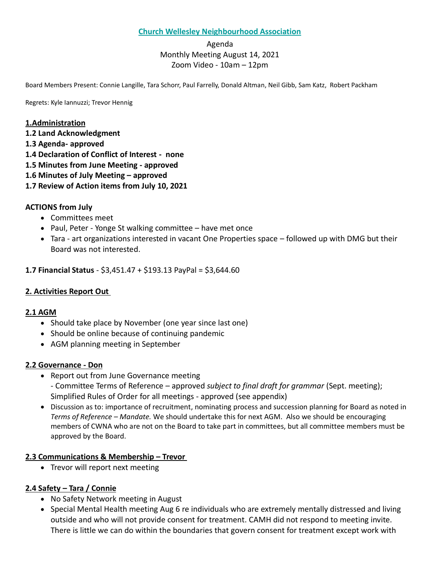### **Church Wellesley Neighbourhood Association**

## Agenda Monthly Meeting August 14, 2021 Zoom Video - 10am – 12pm

Board Members Present: Connie Langille, Tara Schorr, Paul Farrelly, Donald Altman, Neil Gibb, Sam Katz, Robert Packham

Regrets: Kyle Iannuzzi; Trevor Hennig

#### **1.Administration**

- **1.2 Land Acknowledgment**
- **1.3 Agenda- approved**
- **1.4 Declaration of Conflict of Interest none**
- **1.5 Minutes from June Meeting - approved**
- **1.6 Minutes of July Meeting – approved**
- **1.7 Review of Action items from July 10, 2021**

#### **ACTIONS from July**

- Committees meet
- Paul, Peter Yonge St walking committee have met once
- Tara art organizations interested in vacant One Properties space followed up with DMG but their Board was not interested.

**1.7 Financial Status** - \$3,451.47 + \$193.13 PayPal = \$3,644.60

#### **2. Activities Report Out**

#### **2.1 AGM**

- Should take place by November (one year since last one)
- Should be online because of continuing pandemic
- AGM planning meeting in September

#### **2.2 Governance - Don**

- Report out from June Governance meeting
	- Committee Terms of Reference approved *subject to final draft for grammar* (Sept. meeting); Simplified Rules of Order for all meetings - approved (see appendix)
- Discussion as to: importance of recruitment, nominating process and succession planning for Board as noted in *Terms of Reference – Mandate.* We should undertake this for next AGM. Also we should be encouraging members of CWNA who are not on the Board to take part in committees, but all committee members must be approved by the Board.

#### **2.3 Communications & Membership – Trevor**

• Trevor will report next meeting

#### **2.4 Safety – Tara / Connie**

- No Safety Network meeting in August
- Special Mental Health meeting Aug 6 re individuals who are extremely mentally distressed and living outside and who will not provide consent for treatment. CAMH did not respond to meeting invite. There is little we can do within the boundaries that govern consent for treatment except work with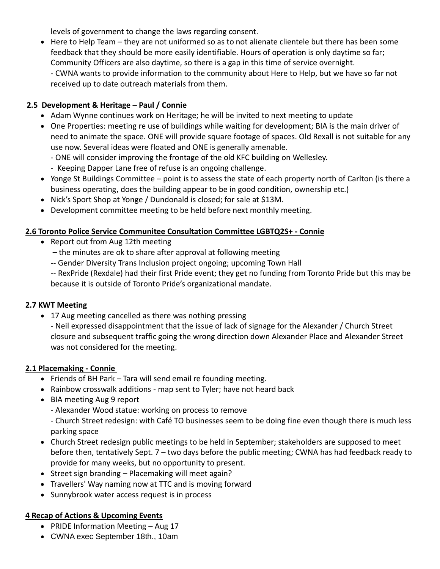levels of government to change the laws regarding consent.

• Here to Help Team – they are not uniformed so as to not alienate clientele but there has been some feedback that they should be more easily identifiable. Hours of operation is only daytime so far; Community Officers are also daytime, so there is a gap in this time of service overnight. - CWNA wants to provide information to the community about Here to Help, but we have so far not received up to date outreach materials from them.

# **2.5 Development & Heritage – Paul / Connie**

- Adam Wynne continues work on Heritage; he will be invited to next meeting to update
- One Properties: meeting re use of buildings while waiting for development; BIA is the main driver of need to animate the space. ONE will provide square footage of spaces. Old Rexall is not suitable for any use now. Several ideas were floated and ONE is generally amenable.
	- ONE will consider improving the frontage of the old KFC building on Wellesley.
	- Keeping Dapper Lane free of refuse is an ongoing challenge.
- Yonge St Buildings Committee point is to assess the state of each property north of Carlton (is there a business operating, does the building appear to be in good condition, ownership etc.)
- Nick's Sport Shop at Yonge / Dundonald is closed; for sale at \$13M.
- Development committee meeting to be held before next monthly meeting.

### **2.6 Toronto Police Service Communitee Consultation Committee LGBTQ2S+ - Connie**

- Report out from Aug 12th meeting
	- the minutes are ok to share after approval at following meeting
	- -- Gender Diversity Trans Inclusion project ongoing; upcoming Town Hall
	- -- RexPride (Rexdale) had their first Pride event; they get no funding from Toronto Pride but this may be because it is outside of Toronto Pride's organizational mandate.

### **2.7 KWT Meeting**

• 17 Aug meeting cancelled as there was nothing pressing

- Neil expressed disappointment that the issue of lack of signage for the Alexander / Church Street closure and subsequent traffic going the wrong direction down Alexander Place and Alexander Street was not considered for the meeting.

### **2.1 Placemaking - Connie**

- Friends of BH Park Tara will send email re founding meeting.
- Rainbow crosswalk additions map sent to Tyler; have not heard back
- BIA meeting Aug 9 report
	- Alexander Wood statue: working on process to remove
	- Church Street redesign: with Café TO businesses seem to be doing fine even though there is much less parking space
- Church Street redesign public meetings to be held in September; stakeholders are supposed to meet before then, tentatively Sept. 7 – two days before the public meeting; CWNA has had feedback ready to provide for many weeks, but no opportunity to present.
- Street sign branding Placemaking will meet again?
- Travellers' Way naming now at TTC and is moving forward
- Sunnybrook water access request is in process

# **4 Recap of Actions & Upcoming Events**

- PRIDE Information Meeting Aug 17
- CWNA exec September 18th., 10am